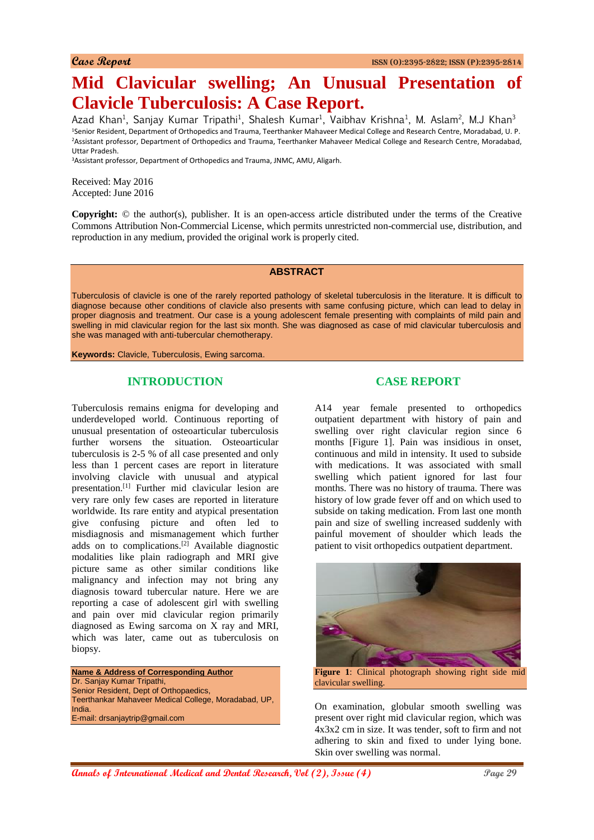# **Mid Clavicular swelling; An Unusual Presentation of Clavicle Tuberculosis: A Case Report.**

Azad Khan<sup>1</sup>, Sanjay Kumar Tripathi<sup>1</sup>, Shalesh Kumar<sup>1</sup>, Vaibhav Krishna<sup>1</sup>, M. Aslam<sup>2</sup>, M.J Khan<sup>3</sup> <sup>1</sup>Senior Resident, Department of Orthopedics and Trauma, Teerthanker Mahaveer Medical College and Research Centre, Moradabad, U. P. <sup>2</sup>Assistant professor, Department of Orthopedics and Trauma, Teerthanker Mahaveer Medical College and Research Centre, Moradabad, Uttar Pradesh.

<sup>3</sup>Assistant professor, Department of Orthopedics and Trauma, JNMC, AMU, Aligarh.

Received: May 2016 Accepted: June 2016

**Copyright:** © the author(s), publisher. It is an open-access article distributed under the terms of the Creative Commons Attribution Non-Commercial License, which permits unrestricted non-commercial use, distribution, and reproduction in any medium, provided the original work is properly cited.

#### **ABSTRACT**

Tuberculosis of clavicle is one of the rarely reported pathology of skeletal tuberculosis in the literature. It is difficult to diagnose because other conditions of clavicle also presents with same confusing picture, which can lead to delay in proper diagnosis and treatment. Our case is a young adolescent female presenting with complaints of mild pain and swelling in mid clavicular region for the last six month. She was diagnosed as case of mid clavicular tuberculosis and she was managed with anti-tubercular chemotherapy.

**Keywords:** Clavicle, Tuberculosis, Ewing sarcoma.

## **INTRODUCTION**

Tuberculosis remains enigma for developing and underdeveloped world. Continuous reporting of unusual presentation of osteoarticular tuberculosis further worsens the situation. Osteoarticular tuberculosis is 2-5 % of all case presented and only less than 1 percent cases are report in literature involving clavicle with unusual and atypical presentation.[1] Further mid clavicular lesion are very rare only few cases are reported in literature worldwide. Its rare entity and atypical presentation give confusing picture and often led to misdiagnosis and mismanagement which further adds on to complications.<sup>[2]</sup> Available diagnostic modalities like plain radiograph and MRI give picture same as other similar conditions like malignancy and infection may not bring any diagnosis toward tubercular nature. Here we are reporting a case of adolescent girl with swelling and pain over mid clavicular region primarily diagnosed as Ewing sarcoma on X ray and MRI, which was later, came out as tuberculosis on biopsy.

**Name & Address of Corresponding Author** Dr. Sanjay Kumar Tripathi, Senior Resident, Dept of Orthopaedics, Teerthankar Mahaveer Medical College, Moradabad, UP, India. E-mail: drsanjaytrip@gmail.com

### **CASE REPORT**

A14 year female presented to orthopedics outpatient department with history of pain and swelling over right clavicular region since 6 months [Figure 1]. Pain was insidious in onset, continuous and mild in intensity. It used to subside with medications. It was associated with small swelling which patient ignored for last four months. There was no history of trauma. There was history of low grade fever off and on which used to subside on taking medication. From last one month pain and size of swelling increased suddenly with painful movement of shoulder which leads the patient to visit orthopedics outpatient department.



**Figure 1**: Clinical photograph showing right side mid clavicular swelling.

On examination, globular smooth swelling was present over right mid clavicular region, which was 4x3x2 cm in size. It was tender, soft to firm and not adhering to skin and fixed to under lying bone. Skin over swelling was normal.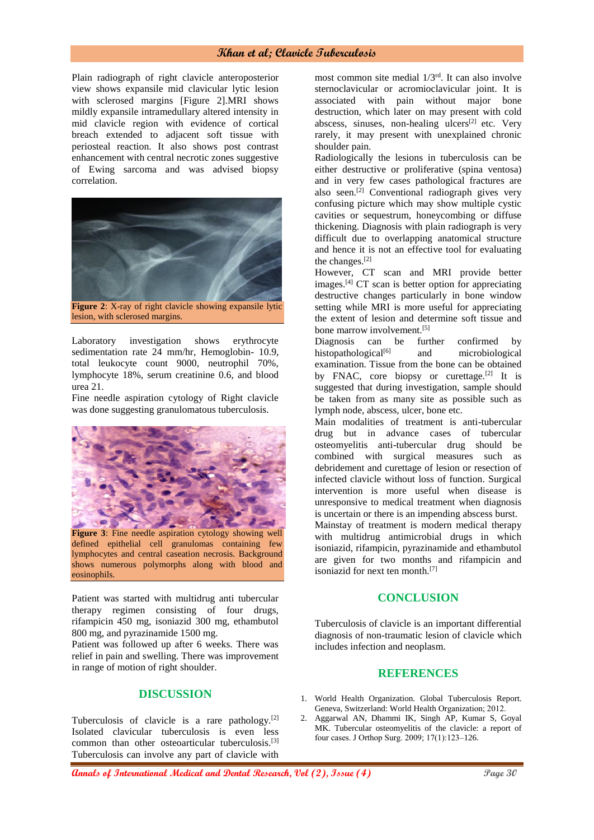#### **Khan et al; Clavicle Tuberculosis**

Plain radiograph of right clavicle anteroposterior view shows expansile mid clavicular lytic lesion with sclerosed margins [Figure 2].MRI shows mildly expansile intramedullary altered intensity in mid clavicle region with evidence of cortical breach extended to adjacent soft tissue with periosteal reaction. It also shows post contrast enhancement with central necrotic zones suggestive of Ewing sarcoma and was advised biopsy correlation.



lesion, with sclerosed margins.

Laboratory investigation shows erythrocyte sedimentation rate 24 mm/hr, Hemoglobin- 10.9, total leukocyte count 9000, neutrophil 70%, lymphocyte 18%, serum creatinine 0.6, and blood urea 21.

Fine needle aspiration cytology of Right clavicle was done suggesting granulomatous tuberculosis.



defined epithelial cell granulomas containing few lymphocytes and central caseation necrosis. Background shows numerous polymorphs along with blood and eosinophils.

Patient was started with multidrug anti tubercular therapy regimen consisting of four drugs, rifampicin 450 mg, isoniazid 300 mg, ethambutol 800 mg, and pyrazinamide 1500 mg.

Patient was followed up after 6 weeks. There was relief in pain and swelling. There was improvement in range of motion of right shoulder.

### **DISCUSSION**

Tuberculosis of clavicle is a rare pathology.[2] Isolated clavicular tuberculosis is even less common than other osteoarticular tuberculosis.[3] Tuberculosis can involve any part of clavicle with

most common site medial 1/3rd. It can also involve sternoclavicular or acromioclavicular joint. It is associated with pain without major bone destruction, which later on may present with cold abscess, sinuses, non-healing ulcers $[2]$  etc. Very rarely, it may present with unexplained chronic shoulder pain.

Radiologically the lesions in tuberculosis can be either destructive or proliferative (spina ventosa) and in very few cases pathological fractures are also seen.<sup>[2]</sup> Conventional radiograph gives very confusing picture which may show multiple cystic cavities or sequestrum, honeycombing or diffuse thickening. Diagnosis with plain radiograph is very difficult due to overlapping anatomical structure and hence it is not an effective tool for evaluating the changes.[2]

However, CT scan and MRI provide better images.[4] CT scan is better option for appreciating destructive changes particularly in bone window setting while MRI is more useful for appreciating the extent of lesion and determine soft tissue and bone marrow involvement.<sup>[5]</sup>

Diagnosis can be further confirmed by histopathological<sup>[6]</sup> and microbiological examination. Tissue from the bone can be obtained by FNAC, core biopsy or curettage.<sup>[2]</sup> It is suggested that during investigation, sample should be taken from as many site as possible such as lymph node, abscess, ulcer, bone etc.

Main modalities of treatment is anti-tubercular drug but in advance cases of tubercular osteomyelitis anti-tubercular drug should be combined with surgical measures such as debridement and curettage of lesion or resection of infected clavicle without loss of function. Surgical intervention is more useful when disease is unresponsive to medical treatment when diagnosis is uncertain or there is an impending abscess burst. Mainstay of treatment is modern medical therapy

with multidrug antimicrobial drugs in which isoniazid, rifampicin, pyrazinamide and ethambutol are given for two months and rifampicin and isoniazid for next ten month.[7]

#### **CONCLUSION**

Tuberculosis of clavicle is an important differential diagnosis of non-traumatic lesion of clavicle which includes infection and neoplasm.

## **REFERENCES**

- 1. World Health Organization. Global Tuberculosis Report. Geneva, Switzerland: World Health Organization; 2012.
- 2. Aggarwal AN, Dhammi IK, Singh AP, Kumar S, Goyal MK. Tubercular osteomyelitis of the clavicle: a report of four cases. J Orthop Surg. 2009; 17(1):123–126.